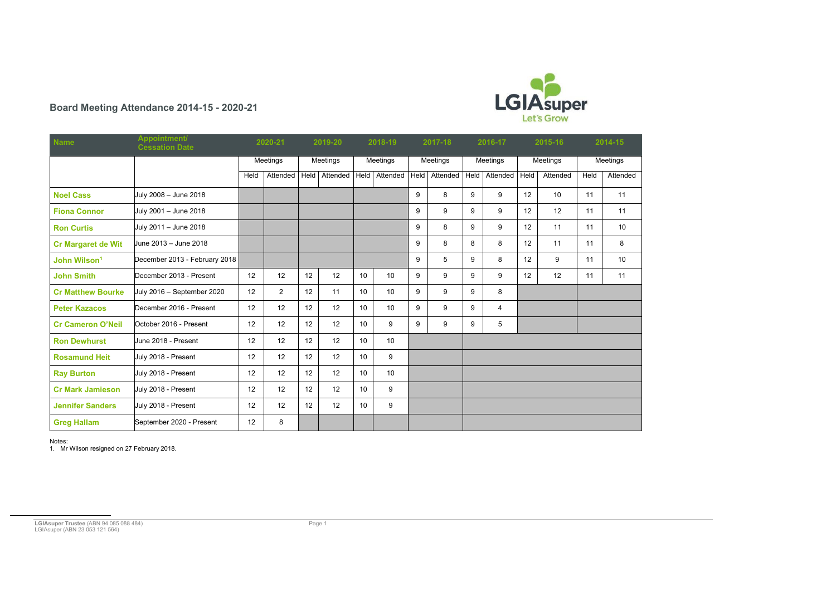<span id="page-0-0"></span>

## **Board Meeting Attendance 2014-15 - 2020-21**

| <b>Name</b>               | Appointment/<br><b>Cessation Date</b> | 2020-21  |                | 2019-20         |          | 2018-19         |                  | 2017-18  |          | 2016-17     |          | 2015-16         |          | 2014-15  |                 |
|---------------------------|---------------------------------------|----------|----------------|-----------------|----------|-----------------|------------------|----------|----------|-------------|----------|-----------------|----------|----------|-----------------|
|                           |                                       | Meetings |                | Meetings        |          | Meetings        |                  | Meetings |          | Meetings    |          | Meetings        |          | Meetings |                 |
|                           |                                       | Held     | Attended       | Held            | Attended | <b>Held</b>     | Attended         | Held     | Attended | <b>Held</b> | Attended | Held            | Attended | Held     | Attended        |
| <b>Noel Cass</b>          | July 2008 - June 2018                 |          |                |                 |          |                 |                  | 9        | 8        | 9           | 9        | 12              | 10       | 11       | 11              |
| <b>Fiona Connor</b>       | July 2001 - June 2018                 |          |                |                 |          |                 |                  | 9        | 9        | 9           | 9        | 12              | 12       | 11       | 11              |
| <b>Ron Curtis</b>         | July 2011 - June 2018                 |          |                |                 |          |                 |                  | 9        | 8        | 9           | 9        | 12 <sup>°</sup> | 11       | 11       | 10 <sup>°</sup> |
| <b>Cr Margaret de Wit</b> | Uune 2013 – June 2018                 |          |                |                 |          |                 |                  | 9        | 8        | 8           | 8        | 12              | 11       | 11       | 8               |
| John Wilson <sup>1</sup>  | December 2013 - February 2018         |          |                |                 |          |                 |                  | 9        | 5        | 9           | 8        | 12              | 9        | 11       | 10 <sup>°</sup> |
| <b>John Smith</b>         | December 2013 - Present               | 12       | 12             | 12              | 12       | 10              | 10               | 9        | 9        | 9           | 9        | 12              | 12       | 11       | 11              |
| <b>Cr Matthew Bourke</b>  | July 2016 - September 2020            | 12       | $\overline{2}$ | 12              | 11       | 10 <sup>°</sup> | 10               | 9        | 9        | 9           | 8        |                 |          |          |                 |
| <b>Peter Kazacos</b>      | December 2016 - Present               | 12       | 12             | 12              | 12       | 10              | 10               | 9        | 9        | 9           | 4        |                 |          |          |                 |
| <b>Cr Cameron O'Neil</b>  | October 2016 - Present                | 12       | 12             | 12 <sup>°</sup> | 12       | 10 <sup>°</sup> | 9                | 9        | 9        | 9           | 5        |                 |          |          |                 |
| <b>Ron Dewhurst</b>       | June 2018 - Present                   | 12       | 12             | 12 <sup>°</sup> | 12       | 10              | 10               |          |          |             |          |                 |          |          |                 |
| <b>Rosamund Heit</b>      | July 2018 - Present                   | 12       | 12             | 12 <sup>°</sup> | 12       | 10 <sup>°</sup> | 9                |          |          |             |          |                 |          |          |                 |
| <b>Ray Burton</b>         | July 2018 - Present                   | 12       | 12             | 12 <sup>°</sup> | 12       | 10 <sup>°</sup> | 10               |          |          |             |          |                 |          |          |                 |
| <b>Cr Mark Jamieson</b>   | July 2018 - Present                   | 12       | 12             | 12 <sup>°</sup> | 12       | 10              | 9                |          |          |             |          |                 |          |          |                 |
| <b>Jennifer Sanders</b>   | July 2018 - Present                   | 12       | 12             | 12 <sup>°</sup> | 12       | 10 <sup>°</sup> | $\boldsymbol{9}$ |          |          |             |          |                 |          |          |                 |
| <b>Greg Hallam</b>        | September 2020 - Present              | 12       | 8              |                 |          |                 |                  |          |          |             |          |                 |          |          |                 |

Notes:

1. Mr Wilson resigned on 27 February 2018.